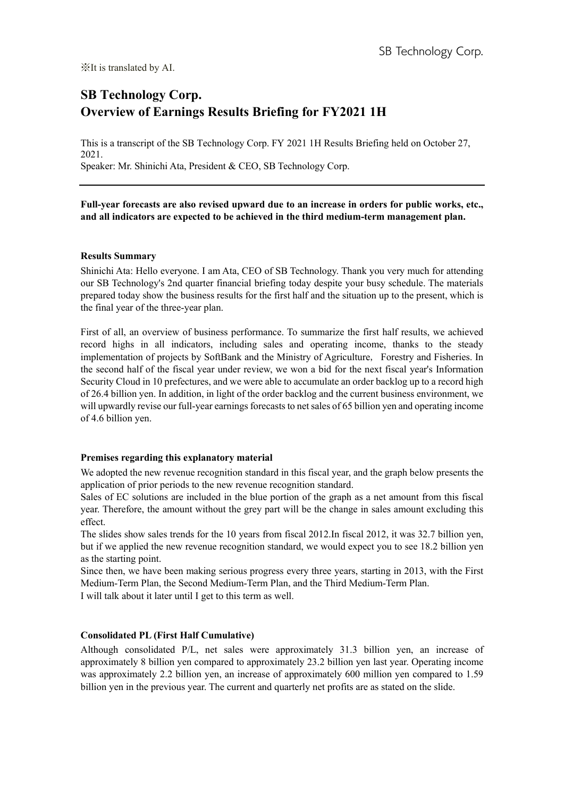# **SB Technology Corp. Overview of Earnings Results Briefing for FY2021 1H**

This is a transcript of the SB Technology Corp. FY 2021 1H Results Briefing held on October 27, 2021. Speaker: Mr. Shinichi Ata, President & CEO, SB Technology Corp.

**Full-year forecasts are also revised upward due to an increase in orders for public works, etc., and all indicators are expected to be achieved in the third medium-term management plan.**

# **Results Summary**

Shinichi Ata: Hello everyone. I am Ata, CEO of SB Technology. Thank you very much for attending our SB Technology's 2nd quarter financial briefing today despite your busy schedule. The materials prepared today show the business results for the first half and the situation up to the present, which is the final year of the three-year plan.

First of all, an overview of business performance. To summarize the first half results, we achieved record highs in all indicators, including sales and operating income, thanks to the steady implementation of projects by SoftBank and the Ministry of Agriculture, Forestry and Fisheries. In the second half of the fiscal year under review, we won a bid for the next fiscal year's Information Security Cloud in 10 prefectures, and we were able to accumulate an order backlog up to a record high of 26.4 billion yen. In addition, in light of the order backlog and the current business environment, we will upwardly revise our full-year earnings forecasts to net sales of 65 billion yen and operating income of 4.6 billion yen.

# **Premises regarding this explanatory material**

We adopted the new revenue recognition standard in this fiscal year, and the graph below presents the application of prior periods to the new revenue recognition standard.

Sales of EC solutions are included in the blue portion of the graph as a net amount from this fiscal year. Therefore, the amount without the grey part will be the change in sales amount excluding this effect.

The slides show sales trends for the 10 years from fiscal 2012.In fiscal 2012, it was 32.7 billion yen, but if we applied the new revenue recognition standard, we would expect you to see 18.2 billion yen as the starting point.

Since then, we have been making serious progress every three years, starting in 2013, with the First Medium-Term Plan, the Second Medium-Term Plan, and the Third Medium-Term Plan.

I will talk about it later until I get to this term as well.

# **Consolidated PL (First Half Cumulative)**

Although consolidated P/L, net sales were approximately 31.3 billion yen, an increase of approximately 8 billion yen compared to approximately 23.2 billion yen last year. Operating income was approximately 2.2 billion yen, an increase of approximately 600 million yen compared to 1.59 billion yen in the previous year. The current and quarterly net profits are as stated on the slide.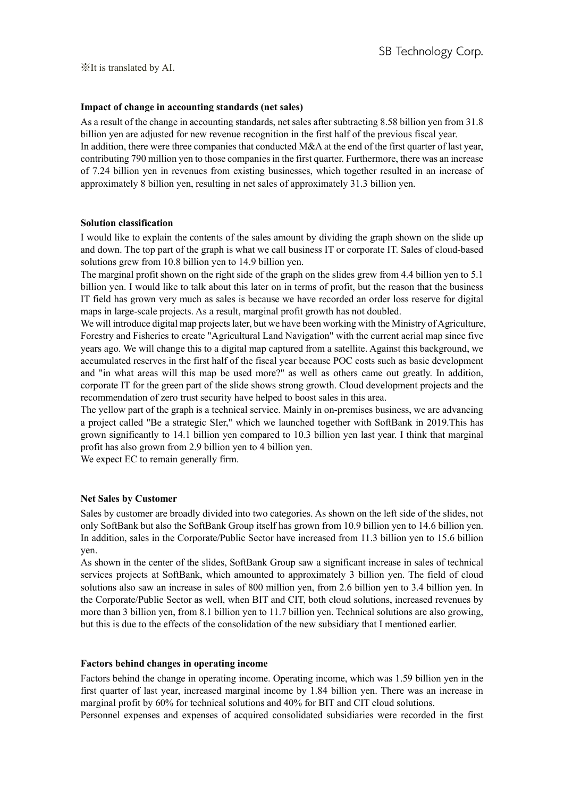# **Impact of change in accounting standards (net sales)**

As a result of the change in accounting standards, net sales after subtracting 8.58 billion yen from 31.8 billion yen are adjusted for new revenue recognition in the first half of the previous fiscal year. In addition, there were three companies that conducted M&A at the end of the first quarter of last year, contributing 790 million yen to those companies in the first quarter. Furthermore, there was an increase of 7.24 billion yen in revenues from existing businesses, which together resulted in an increase of approximately 8 billion yen, resulting in net sales of approximately 31.3 billion yen.

### **Solution classification**

I would like to explain the contents of the sales amount by dividing the graph shown on the slide up and down. The top part of the graph is what we call business IT or corporate IT. Sales of cloud-based solutions grew from 10.8 billion yen to 14.9 billion yen.

The marginal profit shown on the right side of the graph on the slides grew from 4.4 billion yen to 5.1 billion yen. I would like to talk about this later on in terms of profit, but the reason that the business IT field has grown very much as sales is because we have recorded an order loss reserve for digital maps in large-scale projects. As a result, marginal profit growth has not doubled.

We will introduce digital map projects later, but we have been working with the Ministry of Agriculture, Forestry and Fisheries to create "Agricultural Land Navigation" with the current aerial map since five years ago. We will change this to a digital map captured from a satellite. Against this background, we accumulated reserves in the first half of the fiscal year because POC costs such as basic development and "in what areas will this map be used more?" as well as others came out greatly. In addition, corporate IT for the green part of the slide shows strong growth. Cloud development projects and the recommendation of zero trust security have helped to boost sales in this area.

The yellow part of the graph is a technical service. Mainly in on-premises business, we are advancing a project called "Be a strategic SIer," which we launched together with SoftBank in 2019.This has grown significantly to 14.1 billion yen compared to 10.3 billion yen last year. I think that marginal profit has also grown from 2.9 billion yen to 4 billion yen.

We expect EC to remain generally firm.

### **Net Sales by Customer**

Sales by customer are broadly divided into two categories. As shown on the left side of the slides, not only SoftBank but also the SoftBank Group itself has grown from 10.9 billion yen to 14.6 billion yen. In addition, sales in the Corporate/Public Sector have increased from 11.3 billion yen to 15.6 billion yen.

As shown in the center of the slides, SoftBank Group saw a significant increase in sales of technical services projects at SoftBank, which amounted to approximately 3 billion yen. The field of cloud solutions also saw an increase in sales of 800 million yen, from 2.6 billion yen to 3.4 billion yen. In the Corporate/Public Sector as well, when BIT and CIT, both cloud solutions, increased revenues by more than 3 billion yen, from 8.1 billion yen to 11.7 billion yen. Technical solutions are also growing, but this is due to the effects of the consolidation of the new subsidiary that I mentioned earlier.

### **Factors behind changes in operating income**

Factors behind the change in operating income. Operating income, which was 1.59 billion yen in the first quarter of last year, increased marginal income by 1.84 billion yen. There was an increase in marginal profit by 60% for technical solutions and 40% for BIT and CIT cloud solutions.

Personnel expenses and expenses of acquired consolidated subsidiaries were recorded in the first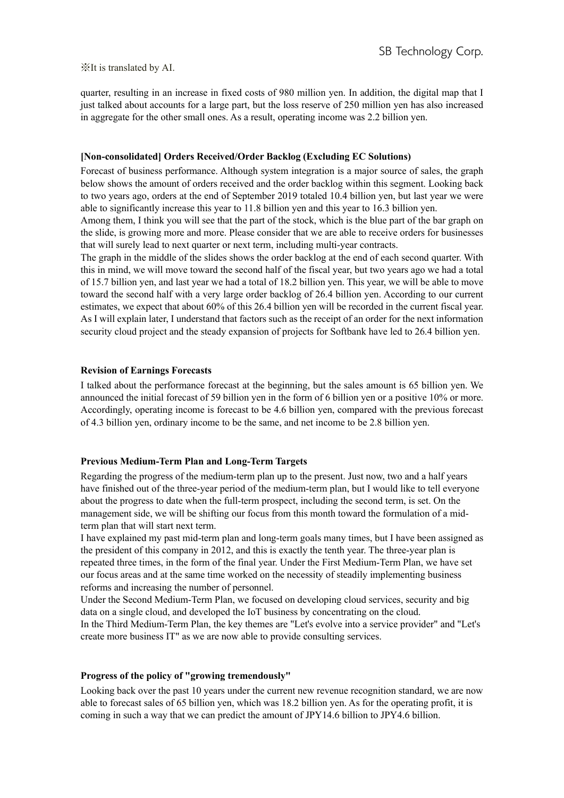quarter, resulting in an increase in fixed costs of 980 million yen. In addition, the digital map that I just talked about accounts for a large part, but the loss reserve of 250 million yen has also increased in aggregate for the other small ones. As a result, operating income was 2.2 billion yen.

#### **[Non-consolidated] Orders Received/Order Backlog (Excluding EC Solutions)**

Forecast of business performance. Although system integration is a major source of sales, the graph below shows the amount of orders received and the order backlog within this segment. Looking back to two years ago, orders at the end of September 2019 totaled 10.4 billion yen, but last year we were able to significantly increase this year to 11.8 billion yen and this year to 16.3 billion yen.

Among them, I think you will see that the part of the stock, which is the blue part of the bar graph on the slide, is growing more and more. Please consider that we are able to receive orders for businesses that will surely lead to next quarter or next term, including multi-year contracts.

The graph in the middle of the slides shows the order backlog at the end of each second quarter. With this in mind, we will move toward the second half of the fiscal year, but two years ago we had a total of 15.7 billion yen, and last year we had a total of 18.2 billion yen. This year, we will be able to move toward the second half with a very large order backlog of 26.4 billion yen. According to our current estimates, we expect that about 60% of this 26.4 billion yen will be recorded in the current fiscal year. As I will explain later, I understand that factors such as the receipt of an order for the next information security cloud project and the steady expansion of projects for Softbank have led to 26.4 billion yen.

### **Revision of Earnings Forecasts**

I talked about the performance forecast at the beginning, but the sales amount is 65 billion yen. We announced the initial forecast of 59 billion yen in the form of 6 billion yen or a positive 10% or more. Accordingly, operating income is forecast to be 4.6 billion yen, compared with the previous forecast of 4.3 billion yen, ordinary income to be the same, and net income to be 2.8 billion yen.

#### **Previous Medium-Term Plan and Long-Term Targets**

Regarding the progress of the medium-term plan up to the present. Just now, two and a half years have finished out of the three-year period of the medium-term plan, but I would like to tell everyone about the progress to date when the full-term prospect, including the second term, is set. On the management side, we will be shifting our focus from this month toward the formulation of a midterm plan that will start next term.

I have explained my past mid-term plan and long-term goals many times, but I have been assigned as the president of this company in 2012, and this is exactly the tenth year. The three-year plan is repeated three times, in the form of the final year. Under the First Medium-Term Plan, we have set our focus areas and at the same time worked on the necessity of steadily implementing business reforms and increasing the number of personnel.

Under the Second Medium-Term Plan, we focused on developing cloud services, security and big data on a single cloud, and developed the IoT business by concentrating on the cloud. In the Third Medium-Term Plan, the key themes are "Let's evolve into a service provider" and "Let's create more business IT" as we are now able to provide consulting services.

#### **Progress of the policy of "growing tremendously"**

Looking back over the past 10 years under the current new revenue recognition standard, we are now able to forecast sales of 65 billion yen, which was 18.2 billion yen. As for the operating profit, it is coming in such a way that we can predict the amount of JPY14.6 billion to JPY4.6 billion.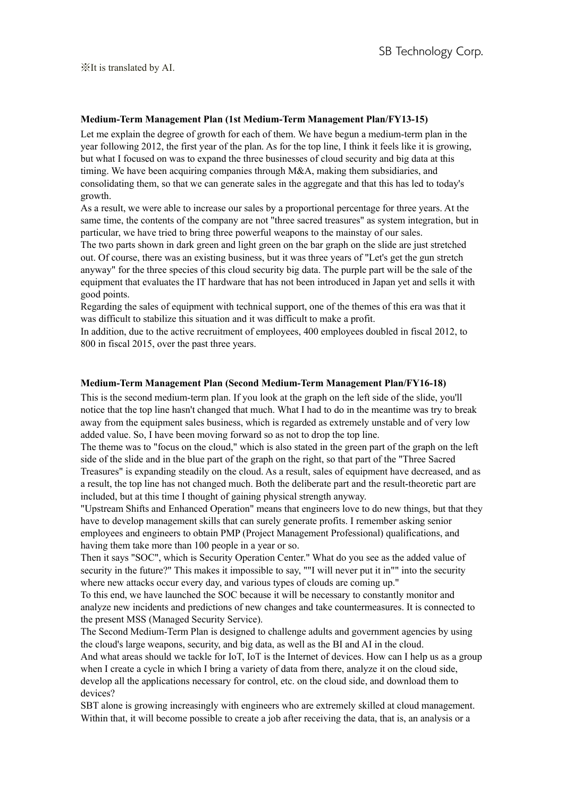## **Medium-Term Management Plan (1st Medium-Term Management Plan/FY13-15)**

Let me explain the degree of growth for each of them. We have begun a medium-term plan in the year following 2012, the first year of the plan. As for the top line, I think it feels like it is growing, but what I focused on was to expand the three businesses of cloud security and big data at this timing. We have been acquiring companies through M&A, making them subsidiaries, and consolidating them, so that we can generate sales in the aggregate and that this has led to today's growth.

As a result, we were able to increase our sales by a proportional percentage for three years. At the same time, the contents of the company are not "three sacred treasures" as system integration, but in particular, we have tried to bring three powerful weapons to the mainstay of our sales.

The two parts shown in dark green and light green on the bar graph on the slide are just stretched out. Of course, there was an existing business, but it was three years of "Let's get the gun stretch anyway" for the three species of this cloud security big data. The purple part will be the sale of the equipment that evaluates the IT hardware that has not been introduced in Japan yet and sells it with good points.

Regarding the sales of equipment with technical support, one of the themes of this era was that it was difficult to stabilize this situation and it was difficult to make a profit.

In addition, due to the active recruitment of employees, 400 employees doubled in fiscal 2012, to 800 in fiscal 2015, over the past three years.

#### **Medium-Term Management Plan (Second Medium-Term Management Plan/FY16-18)**

This is the second medium-term plan. If you look at the graph on the left side of the slide, you'll notice that the top line hasn't changed that much. What I had to do in the meantime was try to break away from the equipment sales business, which is regarded as extremely unstable and of very low added value. So, I have been moving forward so as not to drop the top line.

The theme was to "focus on the cloud," which is also stated in the green part of the graph on the left side of the slide and in the blue part of the graph on the right, so that part of the "Three Sacred Treasures" is expanding steadily on the cloud. As a result, sales of equipment have decreased, and as a result, the top line has not changed much. Both the deliberate part and the result-theoretic part are included, but at this time I thought of gaining physical strength anyway.

"Upstream Shifts and Enhanced Operation" means that engineers love to do new things, but that they have to develop management skills that can surely generate profits. I remember asking senior employees and engineers to obtain PMP (Project Management Professional) qualifications, and having them take more than 100 people in a year or so.

Then it says "SOC", which is Security Operation Center." What do you see as the added value of security in the future?" This makes it impossible to say, ""I will never put it in"" into the security where new attacks occur every day, and various types of clouds are coming up."

To this end, we have launched the SOC because it will be necessary to constantly monitor and analyze new incidents and predictions of new changes and take countermeasures. It is connected to the present MSS (Managed Security Service).

The Second Medium-Term Plan is designed to challenge adults and government agencies by using the cloud's large weapons, security, and big data, as well as the BI and AI in the cloud.

And what areas should we tackle for IoT, IoT is the Internet of devices. How can I help us as a group when I create a cycle in which I bring a variety of data from there, analyze it on the cloud side, develop all the applications necessary for control, etc. on the cloud side, and download them to devices?

SBT alone is growing increasingly with engineers who are extremely skilled at cloud management. Within that, it will become possible to create a job after receiving the data, that is, an analysis or a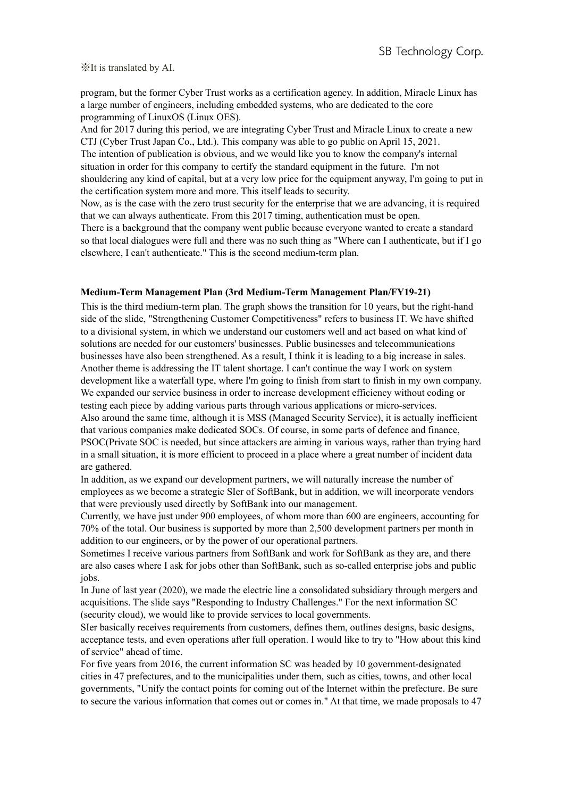program, but the former Cyber Trust works as a certification agency. In addition, Miracle Linux has a large number of engineers, including embedded systems, who are dedicated to the core programming of LinuxOS (Linux OES).

And for 2017 during this period, we are integrating Cyber Trust and Miracle Linux to create a new CTJ (Cyber Trust Japan Co., Ltd.). This company was able to go public on April 15, 2021. The intention of publication is obvious, and we would like you to know the company's internal situation in order for this company to certify the standard equipment in the future. I'm not shouldering any kind of capital, but at a very low price for the equipment anyway, I'm going to put in the certification system more and more. This itself leads to security.

Now, as is the case with the zero trust security for the enterprise that we are advancing, it is required that we can always authenticate. From this 2017 timing, authentication must be open.

There is a background that the company went public because everyone wanted to create a standard so that local dialogues were full and there was no such thing as "Where can I authenticate, but if I go elsewhere, I can't authenticate." This is the second medium-term plan.

#### **Medium-Term Management Plan (3rd Medium-Term Management Plan/FY19-21)**

This is the third medium-term plan. The graph shows the transition for 10 years, but the right-hand side of the slide, "Strengthening Customer Competitiveness" refers to business IT. We have shifted to a divisional system, in which we understand our customers well and act based on what kind of solutions are needed for our customers' businesses. Public businesses and telecommunications businesses have also been strengthened. As a result, I think it is leading to a big increase in sales. Another theme is addressing the IT talent shortage. I can't continue the way I work on system development like a waterfall type, where I'm going to finish from start to finish in my own company. We expanded our service business in order to increase development efficiency without coding or testing each piece by adding various parts through various applications or micro-services. Also around the same time, although it is MSS (Managed Security Service), it is actually inefficient that various companies make dedicated SOCs. Of course, in some parts of defence and finance, PSOC(Private SOC is needed, but since attackers are aiming in various ways, rather than trying hard in a small situation, it is more efficient to proceed in a place where a great number of incident data are gathered.

In addition, as we expand our development partners, we will naturally increase the number of employees as we become a strategic SIer of SoftBank, but in addition, we will incorporate vendors that were previously used directly by SoftBank into our management.

Currently, we have just under 900 employees, of whom more than 600 are engineers, accounting for 70% of the total. Our business is supported by more than 2,500 development partners per month in addition to our engineers, or by the power of our operational partners.

Sometimes I receive various partners from SoftBank and work for SoftBank as they are, and there are also cases where I ask for jobs other than SoftBank, such as so-called enterprise jobs and public jobs.

In June of last year (2020), we made the electric line a consolidated subsidiary through mergers and acquisitions. The slide says "Responding to Industry Challenges." For the next information SC (security cloud), we would like to provide services to local governments.

SIer basically receives requirements from customers, defines them, outlines designs, basic designs, acceptance tests, and even operations after full operation. I would like to try to "How about this kind of service" ahead of time.

For five years from 2016, the current information SC was headed by 10 government-designated cities in 47 prefectures, and to the municipalities under them, such as cities, towns, and other local governments, "Unify the contact points for coming out of the Internet within the prefecture. Be sure to secure the various information that comes out or comes in." At that time, we made proposals to 47